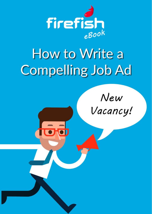

# How to Write a **Compelling Job Ad**

New Vacancy!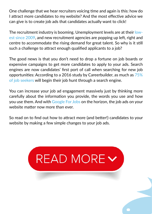One challenge that we hear recruiters voicing time and again is this: how do I attract more candidates to my website? And the most effective advice we can give is to create job ads that candidates actually want to click!

The recruitment industry is booming. Unemployment levels are at their [low](http://www.independent.co.uk/news/business/news/eurozone-unemployment-rate-falls-lowest-january-2009-single-currency-financial-economy-eu-eurostat-a8149436.html)[est since 2009](http://www.independent.co.uk/news/business/news/eurozone-unemployment-rate-falls-lowest-january-2009-single-currency-financial-economy-eu-eurostat-a8149436.html), and new recruitment agencies are popping up left, right and centre to accommodate the rising demand for great talent. So why is it still such a challenge to attract enough qualified applicants to a job?

The good news is that you don't need to drop a fortune on job boards or expensive campaigns to get more candidates to apply to your ads. Search engines are now candidates' first port of call when searching for new job opportunities: According to a 2016 study by Careerbuilder, as much as [75%](https://www.smartjobboard.com/blog/seo-for-job-boards/) [of job seekers](https://www.smartjobboard.com/blog/seo-for-job-boards/) will begin their job hunt through a search engine.

You can increase your job ad engagement massively just by thinking more carefully about the information you provide, the words you use and how you use them. And with [Google For Jobs](https://blog.firefishsoftware.com/how-to-get-ready-for-google-for-jobs-as-a-recruiter) on the horizon, the job ads on your website matter now more than ever.

So read on to find out how to attract more (and better!) candidates to your website by making a few simple changes to your job ads.

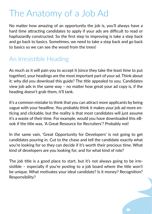## The Anatomy of a Job Ad

No matter how amazing of an opportunity the job is, you'll always have a hard time attracting candidates to apply if your ads are difficult to read or haphazardly constructed. So the first step to improving is take a step back and go back to basics. Sometimes, we need to take a step back and go back to basics so we can see the wood from the trees!

### An Irresistible Heading

As much as it will pain you to accept it (since they take the least time to put together), your headings are the most important part of your ad. Think about it: why did you download this guide? The title appealed to you. Candidates view job ads in the same way – no matter how great your ad copy is, if the heading doesn't grab them, it'll tank.

It's a common mistake to think that you can attract more applicants by being vague with your headline. You probably think it makes your job ad more enticing and clickable, but the reality is that most candidates will just assume it's a waste of their time. For example, would you have downloaded this eBook if the title was, 'A Great Resource for Recruiters'? Probably not!

In the same vain, 'Great Opportunity for Developers' is not going to get candidates pouring in. Cut to the chase and tell the candidate exactly what you're looking for so they can decide if it's worth their precious time. What kind of developers are you looking for, and for what kind of role?

The job title is a good place to start, but it's not always going to be irresistible – especially if you're posting to a job board where the title won't be unique. What motivates your ideal candidate? Is it money? Recognition? Responsibility?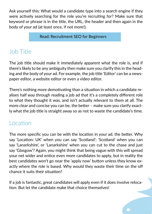Ask yourself this: What would a candidate type into a search engine if they were actively searching for the role you're recruiting for? Make sure that keyword or phrase is in the title, the URL, the header and then again in the body of your ad (at least once, if not more!).

[Read: Recruitment SEO for Beginners](https://blog.firefishsoftware.com/seo-for-beginners)

## Job Title

The job title should make it immediately apparent what the role is, and if there's likely to be any ambiguity then make sure you clarify this in the heading and the body of your ad. For example, the job title 'Editor' can be a newspaper editor, a website editor or even a video editor.

There's nothing more demotivating than a situation in which a candidate realises half way through reading a job ad that it's a completely different role to what they thought it was, and isn't actually relevant to them at all. The more clear and concise you can be, the better – make sure you clarify exactly what the job title is straight away so as not to waste the candidate's time.

#### Location

The more specific you can be with the location in your ad, the better. Why say 'Location: UK' when you can say 'Scotland'; 'Scotland' when you can say 'Lanarkshire', or 'Lanarkshire' when you can cut to the chase and just say 'Glasgow'? Again, you might think that being vague with this will spread your net wider and entice even more candidates to apply, but in reality the best candidates won't go near the 'apply now' button unless they know exactly where the role is based. Why would they waste their time on the off chance it suits their situation?

If a job is fantastic, great candidates will apply even if it does involve relocation. But let the candidate make that choice themselves!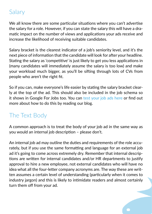#### Salary

We all know there are some particular situations where you can't advertise the salary for a role. However, if you can state the salary this will have a dramatic impact on the number of views and applications your ads receive and increase the likelihood of receiving suitable candidates.

Salary bracket is the clearest indicator of a job's seniority level, and it's the next piece of information that the candidate will look for after your headline. Stating the salary as 'competitive' is just likely to get you less applications in (many candidates will immediately assume the salary is too low) and make your workload much bigger, as you'll be sifting through lots of CVs from people who aren't the right fit.

So if you can, make everyone's life easier by stating the salary bracket clearly at the top of the ad. This should also be included in the job schema so it shows in Google For Jobs too. You can [test your job ads here](https://search.google.com/structured-data/testing-tool) or find out more about how to do this by reading our blog.

#### The Text Body

A common approach is to treat the body of your job ad in the same way as you would an internal job description – please don't.

An internal job ad may outline the duties and requirements of the role accurately, but if you use the same formatting and language for an external job ad it's going to come across extremely dry. Remember that internal descriptions are written for internal candidates and/or HR departments to justify approval to hire a new employee, not external candidates who will have no idea what all the four-letter company acronyms are. The way these are written assumes a certain level of understanding (particularly when it comes to industry jargon) and this is likely to intimidate readers and almost certainly turn them off from your ad.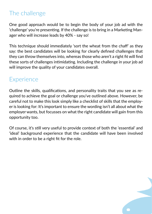## The challenge

One good approach would be to begin the body of your job ad with the 'challenge' you're presenting. If the challenge is to bring in a Marketing Manager who will increase leads by 40% - say so!

This technique should immediately 'sort the wheat from the chaff' as they say: the best candidates will be looking for clearly defined challenges that they can throw themselves into, whereas those who aren't a right fit will find these sorts of challenges intimidating. Including the challenge in your job ad will improve the quality of your candidates overall.

#### **Experience**

Outline the skills, qualifications, and personality traits that you see as required to achieve the goal or challenge you've outlined above. However, be careful not to make this look simply like a checklist of skills that the employer is looking for: It's important to ensure the wording isn't all about what the employer wants, but focusses on what the right candidate will gain from this opportunity too.

Of course, it's still very useful to provide context of both the 'essential' and 'ideal' background experience that the candidate will have been involved with in order to be a right fit for the role.

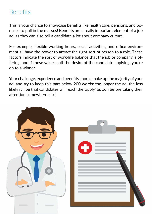#### **Benefits**

This is your chance to showcase benefits like health care, pensions, and bonuses to pull in the masses! Benefits are a really important element of a job ad, as they can also tell a candidate a lot about company culture.

For example, flexible working hours, social activities, and office environment all have the power to attract the right sort of person to a role. These factors indicate the sort of work-life balance that the job or company is offering, and if these values suit the desire of the candidate applying, you're on to a winner.

Your challenge, experience and benefits should make up the majority of your ad, and try to keep this part below 200 words: the longer the ad, the less likely it'll be that candidates will reach the 'apply' button before taking their attention somewhere else!

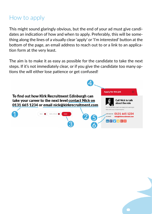## How to apply

This might sound glaringly obvious, but the end of your ad must give candidates an indication of how and when to apply. Preferably, this will be something along the lines of a visually clear 'apply' or 'I'm interested' button at the bottom of the page, an email address to reach out to or a link to an application form at the very least.

The aim is to make it as easy as possible for the candidate to take the next steps. If it's not immediately clear, or if you give the candidate too many options the will either lose patience or get confused!

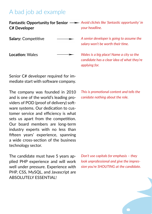#### A bad job ad example

**C# Developer** 

**Salary:** Competitive

**Location:** Wales

Senior C# developer required for immediate start with software company.

The company was founded in 2010 and is one of the world's leading providers of POD (proof of delivery) software systems. Our dedication to customer service and efficiency is what sets us apart from the competition. Our board members are long-term industry experts with no less than fifteen years' experience, spanning a wide cross-section of the business technology sector.

The candidate must have 5 years applied PHP experience and will work well under pressure. Experience with PHP, CSS, MySQL, and Javascript are ABSOLUTELY ESSENTIAL!

**Fantastic Opportunity for Senior** *Avoid clichés like 'fantastic opportunity' in your headline.*

> *A senior developer is going to assume the salary won't be worth their time.*

*Wales is a big place! Name a city so the candidate has a clear idea of what they're applying for.*

*This is promotional content and tells the canidate nothing about the role.*

*Don't use capitals for emphasis – they look unprofessional and give the impression you're SHOUTING at the candidate.*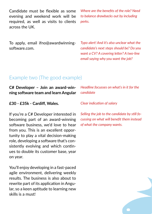Candidate must be flexible as some evening and weekend work will be required, as well as visits to clients across the UK.

*Where are the benefits of the role? Need to balance drawbacks out by including perks.*

To apply, email ifno@awardwinningsoftware.com.

*Typo alert! And it's also unclear what the candidate's next steps should be? Do you want a CV? A covering letter? A two-line email saying why you want the job?*

#### Example two (The good example)

| C# Developer - Join an award-win-<br>ning software team and learn Angular                                                                                                                                                                                                                                                                      | Headline focusses on what's in it for the<br>candidate                                                                   |
|------------------------------------------------------------------------------------------------------------------------------------------------------------------------------------------------------------------------------------------------------------------------------------------------------------------------------------------------|--------------------------------------------------------------------------------------------------------------------------|
| £30 - £35k - Cardiff, Wales.                                                                                                                                                                                                                                                                                                                   | <b>Clear indication of salary</b>                                                                                        |
| If you're a C# Developer interested in<br>becoming part of an award-winning<br>software business, we'd love to hear<br>from you. This is an excellent oppor-<br>tunity to play a vital decision-making<br>role, developing a software that's con-<br>sistently evolving and which contin-<br>ues to double its customer base, year<br>on year. | Selling the job to the candidate by still fo-<br>cussing on what will benefit them instead<br>of what the company wants. |
| You'll enjoy developing in a fast-paced<br>agile environment, delivering weekly<br>results. The business is also about to                                                                                                                                                                                                                      |                                                                                                                          |

rewrite part of its application in Angular, so a keen aptitude to learning new skills is a must!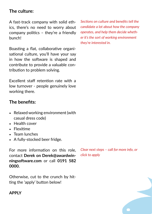#### **The culture:**

A fast-track company with solid ethics, there's no need to worry about company politics – they're a friendly bunch!

Boasting a flat, collaborative organisational culture, you'll have your say in how the software is shaped and contribute to provide a valuable contribution to problem solving.

Excellent staff retention rate with a low turnover - people genuinely love working there.

#### **The benefits:**

- Relaxed working environment (with casual dress code)
- Health cover
- Flexitime
- Team lunches
- A fully-stocked beer fridge.

For more information on this role, contact **Derek on Derek@awardwinningsoftware.com** or call **0191 582 0000.**

Otherwise, cut to the crunch by hitting the 'apply' button below!

#### **APPLY**

*Sections on culture and benefits tell the candidate a lot about how the company operates, and help them decide whether it's the sort of working environment they're interested in.*

*Clear next steps – call for more info, or click to apply*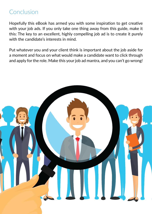#### Conclusion

Hopefully this eBook has armed you with some inspiration to get creative with your job ads. If you only take one thing away from this guide, make it this: The key to an excellent, highly compelling job ad is to create it purely with the candidate's interests in mind.

Put whatever you and your client think is important about the job aside for a moment and focus on what would make a candidate want to click through and apply for the role. Make this your job ad mantra, and you can't go wrong!